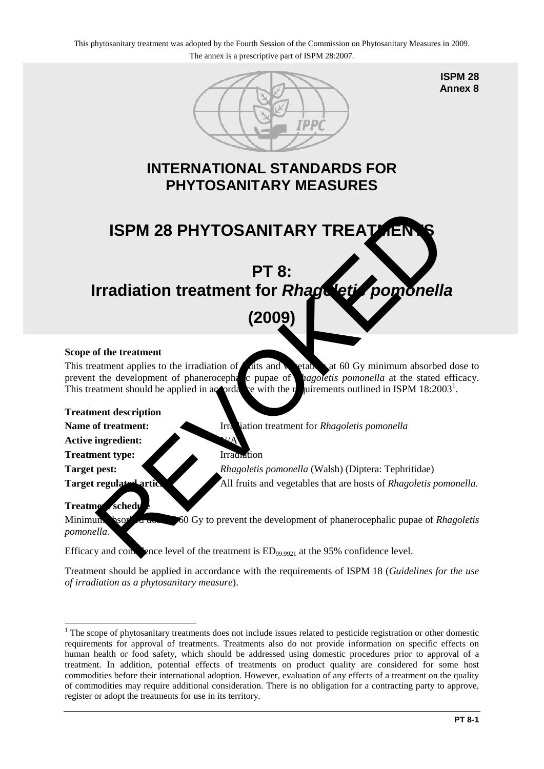

**ISPM 28 Annex 8**

### **INTERNATIONAL STANDARDS FOR PHYTOSANITARY MEASURES**

# **ISPM 28 PHYTOSANITARY TREATMENT**

## **PT 8: Irradiation treatment for** *Rhag* leti pomonella

## **(2009)**

#### **Scope of the treatment**

This treatment applies to the irradiation of  $\epsilon$  at  $\sin \theta$  at 60 Gy minimum absorbed dose to prevent the development of phanerocephalic pupae of *Ragoletis pomonella* at the stated efficacy. This treatment should be applied in  $ac\text{-}orda$  be with the requirements of  $a\text{-}mod\alpha$ uirements outlined in ISPM  $18:2003<sup>1</sup>$ . **ISPM 28 PHYTOSANITARY TREATED FOR SAMITARY TREATED FOR SAMITARY TREATED FOR SAMITARY TREATED FOR SAMITARY STREAM CONTINUES.**<br> **PT 8:**<br> **PT 8:**<br> **COO9)**<br>
of the treatment applies to the irradiation of this and of the dive

#### **Treatment description**

**Name of treatment:** Irradiation treatment for *Rhagoletis pomonella* 

**Active ingredient:** 

**Treatment type:** Irradiation

**Target pest:** *Rhagoletis pomonella* (Walsh) (Diptera: Tephritidae) **Target regulated articles:** All fruits and vegetables that are hosts of *Rhagoletis pomonella*.

#### **Treatment schedule**

Minimum absorbed down **60** Gy to prevent the development of phanerocephalic pupae of *Rhagoletis pomonella*.

Efficacy and confidence level of the treatment is  $ED_{99.9921}$  at the 95% confidence level.

Treatment should be applied in accordance with the requirements of ISPM 18 (*Guidelines for the use of irradiation as a phytosanitary measure*).

<span id="page-0-0"></span><sup>&</sup>lt;u>.</u> <sup>1</sup> The scope of phytosanitary treatments does not include issues related to pesticide registration or other domestic requirements for approval of treatments. Treatments also do not provide information on specific effects on human health or food safety, which should be addressed using domestic procedures prior to approval of a treatment. In addition, potential effects of treatments on product quality are considered for some host commodities before their international adoption. However, evaluation of any effects of a treatment on the quality of commodities may require additional consideration. There is no obligation for a contracting party to approve, register or adopt the treatments for use in its territory.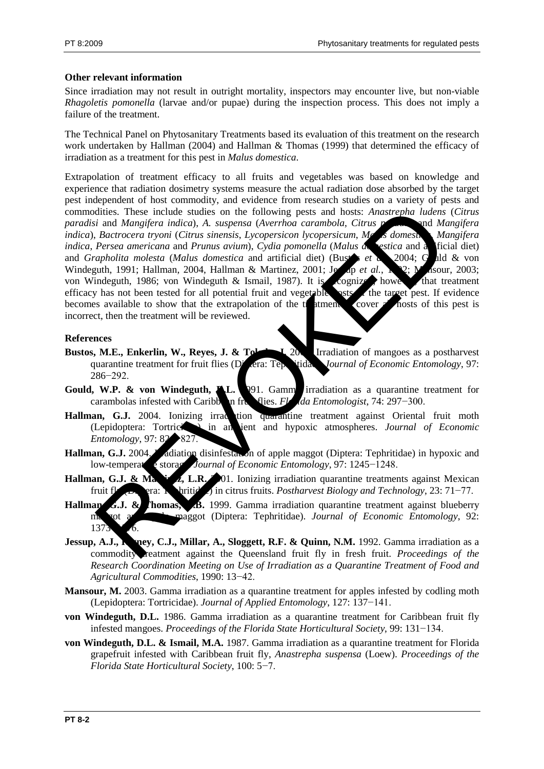#### **Other relevant information**

Since irradiation may not result in outright mortality, inspectors may encounter live, but non-viable *Rhagoletis pomonella* (larvae and/or pupae) during the inspection process. This does not imply a failure of the treatment.

The Technical Panel on Phytosanitary Treatments based its evaluation of this treatment on the research work undertaken by Hallman (2004) and Hallman & Thomas (1999) that determined the efficacy of irradiation as a treatment for this pest in *Malus domestica*.

Extrapolation of treatment efficacy to all fruits and vegetables was based on knowledge and experience that radiation dosimetry systems measure the actual radiation dose absorbed by the target pest independent of host commodity, and evidence from research studies on a variety of pests and commodities. These include studies on the following pests and hosts: *Anastrepha ludens* (*Citrus paradisi* and *Mangifera indica*), *A. suspensa* (*Averrhoa carambola*, *Citrus paradisi* and *Mangifera indica*), *Bactrocera tryoni* (*Citrus sinensis*, *Lycopersicon lycopersicum*, *Malus domestica*, *Mangifera indica*, *Persea americana* and *Prunus avium*), *Cydia pomonella* (*Malus de estica* and a ficial diet) and *Grapholita molesta* (*Malus domestica* and artificial diet) (Bustar *et a*) 2004; Guld & von Windeguth, 1991; Hallman, 2004, Hallman & Martinez, 2001; Jessep *et al.*, 192; Masour, 2003; von Windeguth, 1986; von Windeguth & Ismail, 1987). It is cognized, however, that treatment efficacy has not been tested for all potential fruit and vegetable  $\sim$  the target pest. If evidence becomes available to show that the extrapolation of the trainent to cover all hosts of this pest is incorrect, then the treatment will be reviewed. dities. These include studies on the following pests and hosts: Anastrepha ludens<br>
is Bactrocera tryoni (Citrus sinensis, Lycopersicon hycopersicum, ML admessive and<br> *Metrocera tryoni (Citrus sinensis, Lycopersicon hycope* 

#### **References**

- **Bustos, M.E., Enkerlin, W., Reyes, J. & Toledoc, J. 2004.** Irradiation of mangoes as a postharvest quarantine treatment for fruit flies (Diptera: Tephritidae). *Journal of Economic Entomology*, 97: 286−292.
- **Gould, W.P. & von Windeguth, A.L.** 1991. Gamma irradiation as a quarantine treatment for carambolas infested with Caribb**on fruit flies.** *Florida Entomologist*, 74: 297−300.
- Hallman, G.J. 2004. Ionizing irradiction quarantine treatment against Oriental fruit moth (Lepidoptera: Tortricidae) in ambient and hypoxic atmospheres. *Journal of Economic Entomology*, 97: 82→827
- Hallman, G.J. 2004. In adiation disinfestation of apple maggot (Diptera: Tephritidae) in hypoxic and low-temperate storage. *Journal of Economic Entomology*, 97: 1245−1248.
- **Hallman, G.J. & Martinez, L.R.** 201. Ionizing irradiation quarantine treatments against Mexican fruit fly (Diptera: Tephritidae) in citrus fruits. *Postharvest Biology and Technology*, 23: 71−77.
- Hallman, G.J. & Thomas, B. 1999. Gamma irradiation quarantine treatment against blueberry maggot (Diptera: Tephritidae). *Journal of Economic Entomology*, 92:  $13'$
- **Jessup, A.J., R. p.g., C.J., Millar, A., Sloggett, R.F. & Quinn, N.M.** 1992. Gamma irradiation as a commodity reatment against the Queensland fruit fly in fresh fruit. *Proceedings of the Research Coordination Meeting on Use of Irradiation as a Quarantine Treatment of Food and Agricultural Commodities*, 1990: 13−42.
- **Mansour, M.** 2003. Gamma irradiation as a quarantine treatment for apples infested by codling moth (Lepidoptera: Tortricidae). *Journal of Applied Entomology*, 127: 137−141.
- **von Windeguth, D.L.** 1986. Gamma irradiation as a quarantine treatment for Caribbean fruit fly infested mangoes. *Proceedings of the Florida State Horticultural Society*, 99: 131−134.
- **von Windeguth, D.L. & Ismail, M.A.** 1987. Gamma irradiation as a quarantine treatment for Florida grapefruit infested with Caribbean fruit fly, *Anastrepha suspensa* (Loew). *Proceedings of the Florida State Horticultural Society*, 100: 5−7.